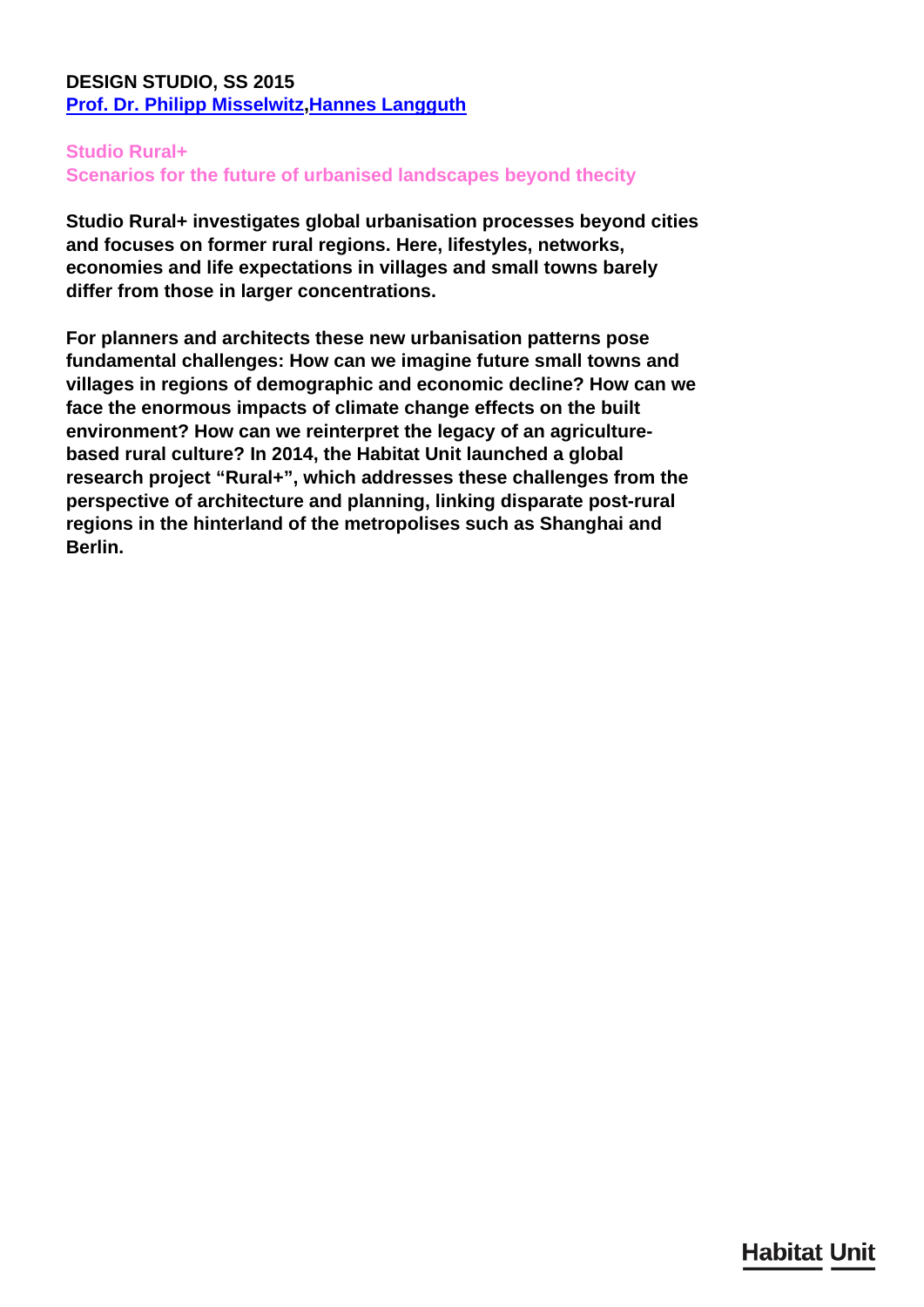## **DESIGN STUDIO, SS 2015 [Prof. Dr. Philipp Misselwitz](/en/team/philipp-misselwitz/)[,Hannes Langguth](/en/team/hannes-langguth/)**

## **Studio Rural+**

**Scenarios for the future of urbanised landscapes beyond thecity**

**Studio Rural+ investigates global urbanisation processes beyond cities and focuses on former rural regions. Here, lifestyles, networks, economies and life expectations in villages and small towns barely differ from those in larger concentrations.**

**For planners and architects these new urbanisation patterns pose fundamental challenges: How can we imagine future small towns and villages in regions of demographic and economic decline? How can we face the enormous impacts of climate change effects on the built environment? How can we reinterpret the legacy of an agriculturebased rural culture? In 2014, the Habitat Unit launched a global research project "Rural+", which addresses these challenges from the perspective of architecture and planning, linking disparate post-rural regions in the hinterland of the metropolises such as Shanghai and Berlin.**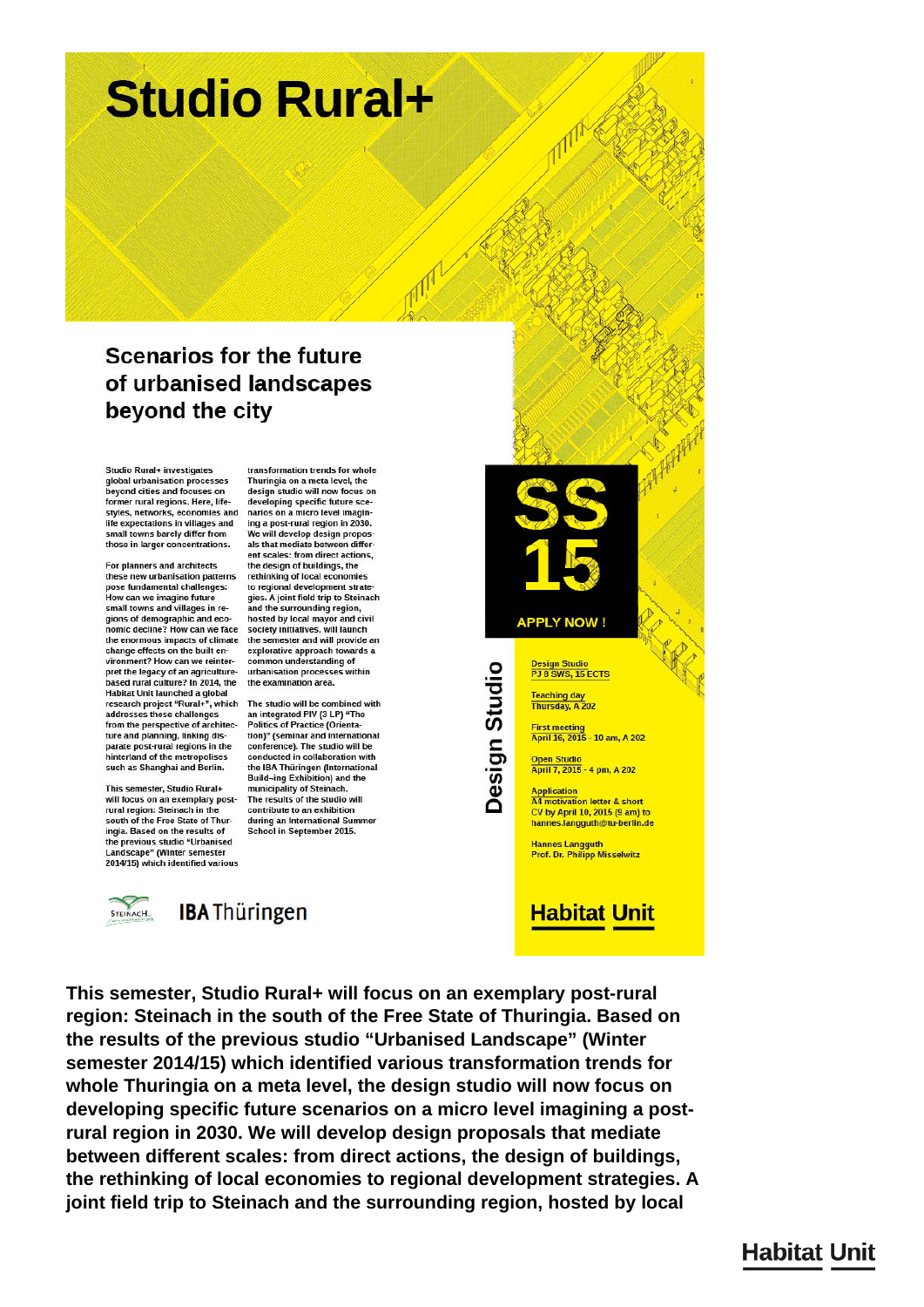# **Studio Rural+**

## **Scenarios for the future** of urbanised landscapes beyond the city

Studio Rural+ investigates global urbanisation processes beyond cities and focuses on former rural regions. Here, lifestyles, networks, economies and life expectations in villages and small towns barely differ from those in larger concentrations.

For planners and architects these new urbanisation patterns pose fundamental challenges:<br>How can we imagine future small towns and villages in regions of demographic and economic decline? How can we face the enormous impacts of climate change effects on the built environment? How can we reinterpret the legacy of an agriculturebased rural culture? In 2014, the based fund culture : in 2014, the the examination area.<br>Habitat Unit launched a global<br>research project "Rural+", which The studio will be combined with addresses these challenges from the perspective of architecture and planning, linking dis-<br>parate post-rural regions in the hinterland of the metropolises such as Shanghai and Berlin.

This semester, Studio Rural+ will focus on an exemplary postrural region: Steinach in th south of the Free State of Thuringia. Based on the results of the previous studio "Urbanised Landscape" (Winter semester<br>2014/15) which identified various

transformation trends for whole Thuringia on a meta level, the design studio will now focus on developing specific future scenarios on a micro level imagining a post-rural region in 2030. We will develop design propos-<br>als that mediate between different scales: from direct actions, the design of buildings, the rethinking of local economies to regional development strate-<br>gies. A joint field trip to Steinach and the surrounding region. hosted by local mayor and civil<br>society initiatives, will launch the semester and will provide an explorative approach towards a common understanding of urbanisation processes within the examination area.

an integrated PIV (3 LP) "The **Politics of Practice (Orienta**tion)" (seminar and international conference). The studio will be conducted in collaboration with the IBA Thüringen (International Build-ing Exhibition) and the<br>municipality of Steinach. The results of the studio will contribute to an exhibition during an International Summer School in September 2015.

STEINACH.

**IBA Thüringen** 

**APPLY NOW!** sign Studio Design Studio PJ 8 SWS, 15 ECTS Teaching day<br>Thursday, A 202 **First meeting<br>April 16, 2015 - 10 am, A 202** Open Studio<br>April 7, 2015 - 4 pm, A 202 **Application**<br>**A4** motivation motivation letter & short CV by April 10, 2015 (9 am) to hannes.langguth@tu-berlin.de

**Hannes Langguth<br>Prof. Dr. Philipp Misselwitz** 

# **Habitat Unit**

This semester, Studio Rural+ will focus on an exemplary post-rural region: Steinach in the south of the Free State of Thuringia. Based on the results of the previous studio "Urbanised Landscape" (Winter semester 2014/15) which identified various transformation trends for whole Thuringia on a meta level, the design studio will now focus on developing specific future scenarios on a micro level imagining a postrural region in 2030. We will develop design proposals that mediate between different scales: from direct actions, the design of buildings, the rethinking of local economies to regional development strategies. A joint field trip to Steinach and the surrounding region, hosted by local

# **Habitat Unit**